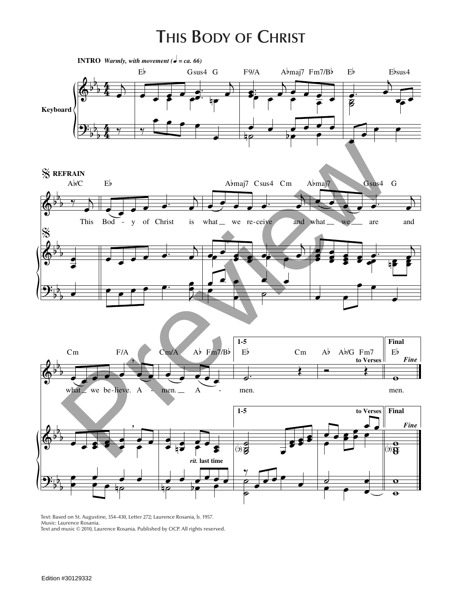## **This Body of Christ**



Text: Based on St. Augustine, 354–430, Letter 272; Laurence Rosania, b. 1957. Music: Laurence Rosania. Text and music © 2010, Laurence Rosania. Published by OCP. All rights reserved.